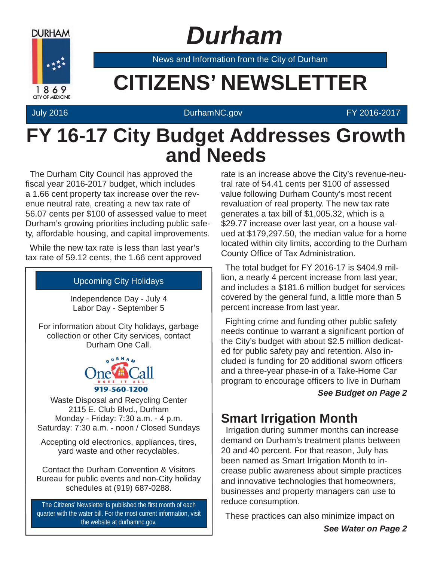

 *Durham*

News and Information from the City of Durham

# **EXAMPLE CITIZENS' NEWSLETTER**

#### July 2016 DurhamNC.gov FY 2016-2017

### **FY 16-17 City Budget Addresses Growth and Needs**

The Durham City Council has approved the fiscal year 2016-2017 budget, which includes a 1.66 cent property tax increase over the revenue neutral rate, creating a new tax rate of 56.07 cents per \$100 of assessed value to meet Durham's growing priorities including public safety, affordable housing, and capital improvements.

While the new tax rate is less than last year's tax rate of 59.12 cents, the 1.66 cent approved

#### Upcoming City Holidays

Independence Day - July 4 Labor Day - September 5

For information about City holidays, garbage collection or other City services, contact Durham One Call.



Waste Disposal and Recycling Center 2115 E. Club Blvd., Durham Monday - Friday: 7:30 a.m. - 4 p.m. Saturday: 7:30 a.m. - noon / Closed Sundays

Accepting old electronics, appliances, tires, yard waste and other recyclables.

Contact the Durham Convention & Visitors Bureau for public events and non-City holiday schedules at (919) 687-0288.

The Citizens' Newsletter is published the first month of each quarter with the water bill. For the most current information, visit the website at durhamnc.gov.

rate is an increase above the City's revenue-neutral rate of 54.41 cents per \$100 of assessed value following Durham County's most recent revaluation of real property. The new tax rate generates a tax bill of \$1,005.32, which is a \$29.77 increase over last year, on a house valued at \$179,297.50, the median value for a home located within city limits, according to the Durham County Office of Tax Administration.

The total budget for FY 2016-17 is \$404.9 million, a nearly 4 percent increase from last year, and includes a \$181.6 million budget for services covered by the general fund, a little more than 5 percent increase from last year.

Fighting crime and funding other public safety needs continue to warrant a significant portion of the City's budget with about \$2.5 million dedicated for public safety pay and retention. Also included is funding for 20 additional sworn officers and a three-year phase-in of a Take-Home Car program to encourage officers to live in Durham

#### *See Budget on Page 2*

### **Smart Irrigation Month**

 Irrigation during summer months can increase demand on Durham's treatment plants between 20 and 40 percent. For that reason, July has been named as Smart Irrigation Month to increase public awareness about simple practices and innovative technologies that homeowners, businesses and property managers can use to reduce consumption.

These practices can also minimize impact on